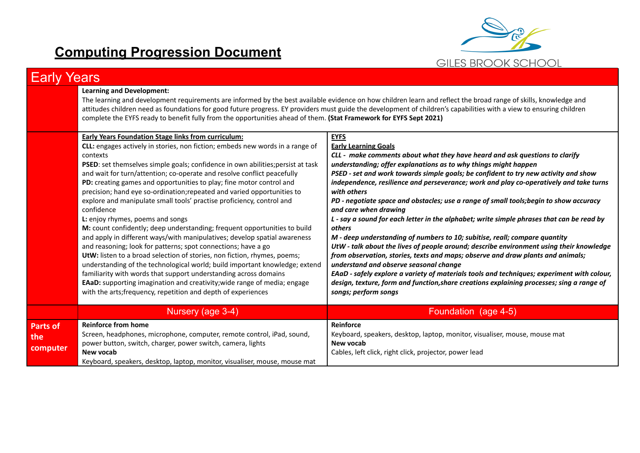## **Computing Progression Document**



| Earlv                              | Years                                                                                                                                                                                                                                                                                                                                                                                                                                                                                                                                                                                                                                                                                                                                                                                                                                                                                                                                                                                                                                                                                                                                                                                                             |                                                                                                                                                                                                                                                                                                                                                                                                                                                                                                                                                                                                                                                                                                                                                                                                                                                                                                                                                                                                                                                                                                                                                 |  |  |
|------------------------------------|-------------------------------------------------------------------------------------------------------------------------------------------------------------------------------------------------------------------------------------------------------------------------------------------------------------------------------------------------------------------------------------------------------------------------------------------------------------------------------------------------------------------------------------------------------------------------------------------------------------------------------------------------------------------------------------------------------------------------------------------------------------------------------------------------------------------------------------------------------------------------------------------------------------------------------------------------------------------------------------------------------------------------------------------------------------------------------------------------------------------------------------------------------------------------------------------------------------------|-------------------------------------------------------------------------------------------------------------------------------------------------------------------------------------------------------------------------------------------------------------------------------------------------------------------------------------------------------------------------------------------------------------------------------------------------------------------------------------------------------------------------------------------------------------------------------------------------------------------------------------------------------------------------------------------------------------------------------------------------------------------------------------------------------------------------------------------------------------------------------------------------------------------------------------------------------------------------------------------------------------------------------------------------------------------------------------------------------------------------------------------------|--|--|
|                                    | <b>Learning and Development:</b><br>The learning and development requirements are informed by the best available evidence on how children learn and reflect the broad range of skills, knowledge and<br>attitudes children need as foundations for good future progress. EY providers must guide the development of children's capabilities with a view to ensuring children<br>complete the EYFS ready to benefit fully from the opportunities ahead of them. (Stat Framework for EYFS Sept 2021)                                                                                                                                                                                                                                                                                                                                                                                                                                                                                                                                                                                                                                                                                                                |                                                                                                                                                                                                                                                                                                                                                                                                                                                                                                                                                                                                                                                                                                                                                                                                                                                                                                                                                                                                                                                                                                                                                 |  |  |
|                                    | <b>Early Years Foundation Stage links from curriculum:</b><br>CLL: engages actively in stories, non fiction; embeds new words in a range of<br>contexts<br>PSED: set themselves simple goals; confidence in own abilities; persist at task<br>and wait for turn/attention; co-operate and resolve conflict peacefully<br>PD: creating games and opportunities to play; fine motor control and<br>precision; hand eye so-ordination; repeated and varied opportunities to<br>explore and manipulate small tools' practise proficiency, control and<br>confidence<br>L: enjoy rhymes, poems and songs<br>M: count confidently; deep understanding; frequent opportunities to build<br>and apply in different ways/with manipulatives; develop spatial awareness<br>and reasoning; look for patterns; spot connections; have a go<br>UtW: listen to a broad selection of stories, non fiction, rhymes, poems;<br>understanding of the technological world; build important knowledge; extend<br>familiarity with words that support understanding across domains<br><b>EAaD:</b> supporting imagination and creativity; wide range of media; engage<br>with the arts; frequency, repetition and depth of experiences | <b>EYFS</b><br><b>Early Learning Goals</b><br>CLL - make comments about what they have heard and ask questions to clarify<br>understanding; offer explanations as to why things might happen<br>PSED - set and work towards simple goals; be confident to try new activity and show<br>independence, resilience and perseverance; work and play co-operatively and take turns<br>with others<br>PD - negotiate space and obstacles; use a range of small tools; begin to show accuracy<br>and care when drawing<br>L - say a sound for each letter in the alphabet; write simple phrases that can be read by<br>others<br>M - deep understanding of numbers to 10; subitise, reall; compare quantity<br>UtW - talk about the lives of people around; describe environment using their knowledge<br>from observation, stories, texts and maps; observe and draw plants and animals;<br>understand and observe seasonal change<br>EAaD - safely explore a variety of materials tools and techniques; experiment with colour,<br>design, texture, form and function, share creations explaining processes; sing a range of<br>songs; perform songs |  |  |
|                                    | Nursery (age 3-4)                                                                                                                                                                                                                                                                                                                                                                                                                                                                                                                                                                                                                                                                                                                                                                                                                                                                                                                                                                                                                                                                                                                                                                                                 | Foundation (age 4-5)                                                                                                                                                                                                                                                                                                                                                                                                                                                                                                                                                                                                                                                                                                                                                                                                                                                                                                                                                                                                                                                                                                                            |  |  |
| <b>Parts of</b><br>the<br>computer | <b>Reinforce from home</b><br>Screen, headphones, microphone, computer, remote control, iPad, sound,<br>power button, switch, charger, power switch, camera, lights<br>New vocab<br>Keyboard, speakers, desktop, laptop, monitor, visualiser, mouse, mouse mat                                                                                                                                                                                                                                                                                                                                                                                                                                                                                                                                                                                                                                                                                                                                                                                                                                                                                                                                                    | Reinforce<br>Keyboard, speakers, desktop, laptop, monitor, visualiser, mouse, mouse mat<br>New vocab<br>Cables, left click, right click, projector, power lead                                                                                                                                                                                                                                                                                                                                                                                                                                                                                                                                                                                                                                                                                                                                                                                                                                                                                                                                                                                  |  |  |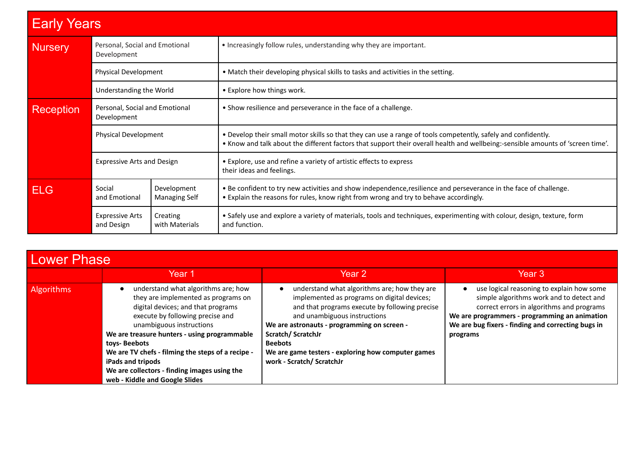| <b>Early Years</b> |                                               |                                     |                                                                                                                                                                                                                                                  |  |
|--------------------|-----------------------------------------------|-------------------------------------|--------------------------------------------------------------------------------------------------------------------------------------------------------------------------------------------------------------------------------------------------|--|
| <b>Nursery</b>     | Personal, Social and Emotional<br>Development |                                     | • Increasingly follow rules, understanding why they are important.                                                                                                                                                                               |  |
|                    | <b>Physical Development</b>                   |                                     | • Match their developing physical skills to tasks and activities in the setting.                                                                                                                                                                 |  |
|                    | Understanding the World                       |                                     | • Explore how things work.                                                                                                                                                                                                                       |  |
| <b>Reception</b>   | Personal, Social and Emotional<br>Development |                                     | • Show resilience and perseverance in the face of a challenge.                                                                                                                                                                                   |  |
|                    | <b>Physical Development</b>                   |                                     | . Develop their small motor skills so that they can use a range of tools competently, safely and confidently.<br>• Know and talk about the different factors that support their overall health and wellbeing:-sensible amounts of 'screen time'. |  |
|                    | <b>Expressive Arts and Design</b>             |                                     | • Explore, use and refine a variety of artistic effects to express<br>their ideas and feelings.                                                                                                                                                  |  |
| <b>ELG</b>         | Social<br>and Emotional                       | Development<br><b>Managing Self</b> | . Be confident to try new activities and show independence, resilience and perseverance in the face of challenge.<br>• Explain the reasons for rules, know right from wrong and try to behave accordingly.                                       |  |
|                    | <b>Expressive Arts</b><br>and Design          | Creating<br>with Materials          | • Safely use and explore a variety of materials, tools and techniques, experimenting with colour, design, texture, form<br>and function.                                                                                                         |  |

| <b>Lower Phase</b> |                                                                                                                                                                                                                                                                                                                                                                                                              |                                                                                                                                                                                                                                                                                                                                                        |                                                                                                                                                                                                                                                       |  |
|--------------------|--------------------------------------------------------------------------------------------------------------------------------------------------------------------------------------------------------------------------------------------------------------------------------------------------------------------------------------------------------------------------------------------------------------|--------------------------------------------------------------------------------------------------------------------------------------------------------------------------------------------------------------------------------------------------------------------------------------------------------------------------------------------------------|-------------------------------------------------------------------------------------------------------------------------------------------------------------------------------------------------------------------------------------------------------|--|
|                    | Year 1                                                                                                                                                                                                                                                                                                                                                                                                       | Year 2                                                                                                                                                                                                                                                                                                                                                 | Year 3                                                                                                                                                                                                                                                |  |
| <b>Algorithms</b>  | understand what algorithms are; how<br>they are implemented as programs on<br>digital devices; and that programs<br>execute by following precise and<br>unambiguous instructions<br>We are treasure hunters - using programmable<br>toys-Beebots<br>We are TV chefs - filming the steps of a recipe -<br>iPads and tripods<br>We are collectors - finding images using the<br>web - Kiddle and Google Slides | understand what algorithms are; how they are<br>implemented as programs on digital devices;<br>and that programs execute by following precise<br>and unambiguous instructions<br>We are astronauts - programming on screen -<br>Scratch/ScratchJr<br><b>Beebots</b><br>We are game testers - exploring how computer games<br>work - Scratch/ ScratchJr | use logical reasoning to explain how some<br>simple algorithms work and to detect and<br>correct errors in algorithms and programs<br>We are programmers - programming an animation<br>We are bug fixers - finding and correcting bugs in<br>programs |  |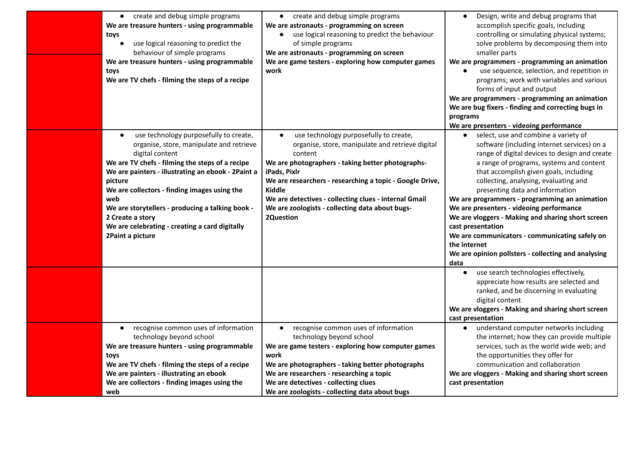| create and debug simple programs<br>$\bullet$<br>We are treasure hunters - using programmable<br>toys<br>use logical reasoning to predict the<br>behaviour of simple programs<br>We are treasure hunters - using programmable<br>toys<br>We are TV chefs - filming the steps of a recipe                                                                                                                                                    | • create and debug simple programs<br>We are astronauts - programming on screen<br>use logical reasoning to predict the behaviour<br>$\bullet$<br>of simple programs<br>We are astronauts - programming on screen<br>We are game testers - exploring how computer games<br>work                                                                                                               | Design, write and debug programs that<br>accomplish specific goals, including<br>controlling or simulating physical systems;<br>solve problems by decomposing them into<br>smaller parts<br>We are programmers - programming an animation<br>use sequence, selection, and repetition in<br>programs; work with variables and various<br>forms of input and output<br>We are programmers - programming an animation<br>We are bug fixers - finding and correcting bugs in<br>programs<br>We are presenters - videoing performance                                                                               |
|---------------------------------------------------------------------------------------------------------------------------------------------------------------------------------------------------------------------------------------------------------------------------------------------------------------------------------------------------------------------------------------------------------------------------------------------|-----------------------------------------------------------------------------------------------------------------------------------------------------------------------------------------------------------------------------------------------------------------------------------------------------------------------------------------------------------------------------------------------|----------------------------------------------------------------------------------------------------------------------------------------------------------------------------------------------------------------------------------------------------------------------------------------------------------------------------------------------------------------------------------------------------------------------------------------------------------------------------------------------------------------------------------------------------------------------------------------------------------------|
| use technology purposefully to create,<br>$\bullet$<br>organise, store, manipulate and retrieve<br>digital content<br>We are TV chefs - filming the steps of a recipe<br>We are painters - illustrating an ebook - 2Paint a<br>picture<br>We are collectors - finding images using the<br>web<br>We are storytellers - producing a talking book -<br>2 Create a story<br>We are celebrating - creating a card digitally<br>2Paint a picture | use technology purposefully to create,<br>$\bullet$<br>organise, store, manipulate and retrieve digital<br>content<br>We are photographers - taking better photographs-<br>iPads, Pixlr<br>We are researchers - researching a topic - Google Drive,<br><b>Kiddle</b><br>We are detectives - collecting clues - internal Gmail<br>We are zoologists - collecting data about bugs-<br>2Question | select, use and combine a variety of<br>software (including internet services) on a<br>range of digital devices to design and create<br>a range of programs, systems and content<br>that accomplish given goals, including<br>collecting, analysing, evaluating and<br>presenting data and information<br>We are programmers - programming an animation<br>We are presenters - videoing performance<br>We are vloggers - Making and sharing short screen<br>cast presentation<br>We are communicators - communicating safely on<br>the internet<br>We are opinion pollsters - collecting and analysing<br>data |
| recognise common uses of information<br>$\bullet$<br>technology beyond school<br>We are treasure hunters - using programmable                                                                                                                                                                                                                                                                                                               | recognise common uses of information<br>$\bullet$<br>technology beyond school<br>We are game testers - exploring how computer games                                                                                                                                                                                                                                                           | use search technologies effectively,<br>$\bullet$<br>appreciate how results are selected and<br>ranked, and be discerning in evaluating<br>digital content<br>We are vloggers - Making and sharing short screen<br>cast presentation<br>understand computer networks including<br>the internet; how they can provide multiple<br>services, such as the world wide web; and                                                                                                                                                                                                                                     |
| toys<br>We are TV chefs - filming the steps of a recipe<br>We are painters - illustrating an ebook<br>We are collectors - finding images using the<br>web                                                                                                                                                                                                                                                                                   | work<br>We are photographers - taking better photographs<br>We are researchers - researching a topic<br>We are detectives - collecting clues<br>We are zoologists - collecting data about bugs                                                                                                                                                                                                | the opportunities they offer for<br>communication and collaboration<br>We are vloggers - Making and sharing short screen<br>cast presentation                                                                                                                                                                                                                                                                                                                                                                                                                                                                  |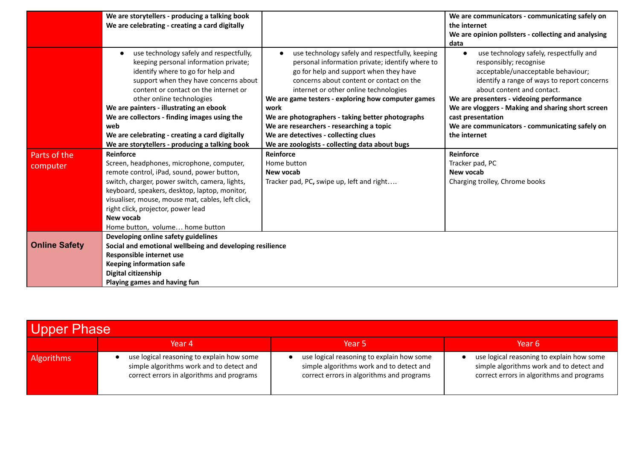|                          | We are storytellers - producing a talking book<br>We are celebrating - creating a card digitally                                                                                                                                                                                                                                                     |                                                                                                                                                                                                                                                                                                                                                     | We are communicators - communicating safely on<br>the internet                                                                                                                                                                                                                                             |
|--------------------------|------------------------------------------------------------------------------------------------------------------------------------------------------------------------------------------------------------------------------------------------------------------------------------------------------------------------------------------------------|-----------------------------------------------------------------------------------------------------------------------------------------------------------------------------------------------------------------------------------------------------------------------------------------------------------------------------------------------------|------------------------------------------------------------------------------------------------------------------------------------------------------------------------------------------------------------------------------------------------------------------------------------------------------------|
|                          |                                                                                                                                                                                                                                                                                                                                                      |                                                                                                                                                                                                                                                                                                                                                     | We are opinion pollsters - collecting and analysing<br>data                                                                                                                                                                                                                                                |
|                          | use technology safely and respectfully,<br>keeping personal information private;<br>identify where to go for help and<br>support when they have concerns about<br>content or contact on the internet or<br>other online technologies<br>We are painters - illustrating an ebook<br>We are collectors - finding images using the                      | use technology safely and respectfully, keeping<br>personal information private; identify where to<br>go for help and support when they have<br>concerns about content or contact on the<br>internet or other online technologies<br>We are game testers - exploring how computer games<br>work<br>We are photographers - taking better photographs | use technology safely, respectfully and<br>responsibly; recognise<br>acceptable/unacceptable behaviour;<br>identify a range of ways to report concerns<br>about content and contact.<br>We are presenters - videoing performance<br>We are vloggers - Making and sharing short screen<br>cast presentation |
|                          | web                                                                                                                                                                                                                                                                                                                                                  | We are researchers - researching a topic                                                                                                                                                                                                                                                                                                            | We are communicators - communicating safely on                                                                                                                                                                                                                                                             |
|                          | We are celebrating - creating a card digitally                                                                                                                                                                                                                                                                                                       | We are detectives - collecting clues                                                                                                                                                                                                                                                                                                                | the internet                                                                                                                                                                                                                                                                                               |
| Parts of the<br>computer | We are storytellers - producing a talking book<br>Reinforce<br>Screen, headphones, microphone, computer,<br>remote control, iPad, sound, power button,<br>switch, charger, power switch, camera, lights,<br>keyboard, speakers, desktop, laptop, monitor,<br>visualiser, mouse, mouse mat, cables, left click,<br>right click, projector, power lead | We are zoologists - collecting data about bugs<br>Reinforce<br>Home button<br>New vocab<br>Tracker pad, PC, swipe up, left and right                                                                                                                                                                                                                | Reinforce<br>Tracker pad, PC<br>New vocab<br>Charging trolley, Chrome books                                                                                                                                                                                                                                |
|                          | New vocab                                                                                                                                                                                                                                                                                                                                            |                                                                                                                                                                                                                                                                                                                                                     |                                                                                                                                                                                                                                                                                                            |
|                          | Home button, volume home button                                                                                                                                                                                                                                                                                                                      |                                                                                                                                                                                                                                                                                                                                                     |                                                                                                                                                                                                                                                                                                            |
| <b>Online Safety</b>     | Developing online safety guidelines<br>Social and emotional wellbeing and developing resilience                                                                                                                                                                                                                                                      |                                                                                                                                                                                                                                                                                                                                                     |                                                                                                                                                                                                                                                                                                            |
|                          | Responsible internet use                                                                                                                                                                                                                                                                                                                             |                                                                                                                                                                                                                                                                                                                                                     |                                                                                                                                                                                                                                                                                                            |
|                          | <b>Keeping information safe</b>                                                                                                                                                                                                                                                                                                                      |                                                                                                                                                                                                                                                                                                                                                     |                                                                                                                                                                                                                                                                                                            |
|                          | Digital citizenship                                                                                                                                                                                                                                                                                                                                  |                                                                                                                                                                                                                                                                                                                                                     |                                                                                                                                                                                                                                                                                                            |
|                          | Playing games and having fun                                                                                                                                                                                                                                                                                                                         |                                                                                                                                                                                                                                                                                                                                                     |                                                                                                                                                                                                                                                                                                            |

| Upper Phase       |                                                                                                                                    |                                                                                                                                    |                                                                                                                                    |  |
|-------------------|------------------------------------------------------------------------------------------------------------------------------------|------------------------------------------------------------------------------------------------------------------------------------|------------------------------------------------------------------------------------------------------------------------------------|--|
|                   | Year 4                                                                                                                             | Year 5                                                                                                                             | Year 6                                                                                                                             |  |
| <b>Algorithms</b> | use logical reasoning to explain how some<br>simple algorithms work and to detect and<br>correct errors in algorithms and programs | use logical reasoning to explain how some<br>simple algorithms work and to detect and<br>correct errors in algorithms and programs | use logical reasoning to explain how some<br>simple algorithms work and to detect and<br>correct errors in algorithms and programs |  |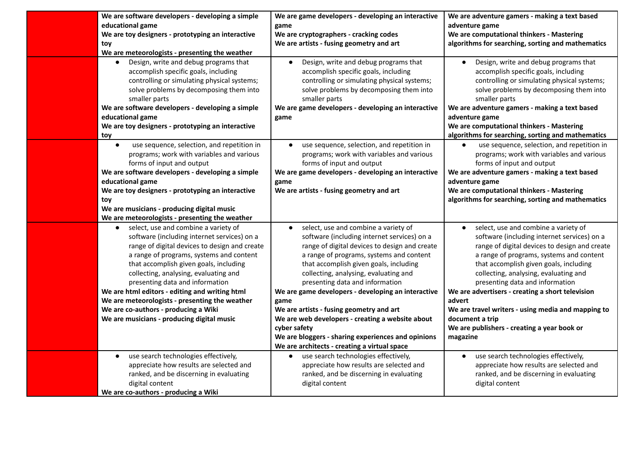| We are software developers - developing a simple<br>educational game<br>We are toy designers - prototyping an interactive<br>toy<br>We are meteorologists - presenting the weather<br>Design, write and debug programs that                                                                                                                                                                                                                                                                      | We are game developers - developing an interactive<br>game<br>We are cryptographers - cracking codes<br>We are artists - fusing geometry and art<br>Design, write and debug programs that                                                                                                                                                                                                                                                                                                                                                                                                  | We are adventure gamers - making a text based<br>adventure game<br>We are computational thinkers - Mastering<br>algorithms for searching, sorting and mathematics<br>Design, write and debug programs that                                                                                                                                                                                                                                                                                               |
|--------------------------------------------------------------------------------------------------------------------------------------------------------------------------------------------------------------------------------------------------------------------------------------------------------------------------------------------------------------------------------------------------------------------------------------------------------------------------------------------------|--------------------------------------------------------------------------------------------------------------------------------------------------------------------------------------------------------------------------------------------------------------------------------------------------------------------------------------------------------------------------------------------------------------------------------------------------------------------------------------------------------------------------------------------------------------------------------------------|----------------------------------------------------------------------------------------------------------------------------------------------------------------------------------------------------------------------------------------------------------------------------------------------------------------------------------------------------------------------------------------------------------------------------------------------------------------------------------------------------------|
| accomplish specific goals, including<br>controlling or simulating physical systems;<br>solve problems by decomposing them into<br>smaller parts<br>We are software developers - developing a simple<br>educational game                                                                                                                                                                                                                                                                          | accomplish specific goals, including<br>controlling or simulating physical systems;<br>solve problems by decomposing them into<br>smaller parts<br>We are game developers - developing an interactive<br>game                                                                                                                                                                                                                                                                                                                                                                              | accomplish specific goals, including<br>controlling or simulating physical systems;<br>solve problems by decomposing them into<br>smaller parts<br>We are adventure gamers - making a text based<br>adventure game                                                                                                                                                                                                                                                                                       |
| We are toy designers - prototyping an interactive<br>toy                                                                                                                                                                                                                                                                                                                                                                                                                                         |                                                                                                                                                                                                                                                                                                                                                                                                                                                                                                                                                                                            | We are computational thinkers - Mastering<br>algorithms for searching, sorting and mathematics                                                                                                                                                                                                                                                                                                                                                                                                           |
| use sequence, selection, and repetition in<br>$\bullet$<br>programs; work with variables and various<br>forms of input and output<br>We are software developers - developing a simple<br>educational game<br>We are toy designers - prototyping an interactive<br>toy<br>We are musicians - producing digital music<br>We are meteorologists - presenting the weather                                                                                                                            | use sequence, selection, and repetition in<br>programs; work with variables and various<br>forms of input and output<br>We are game developers - developing an interactive<br>game<br>We are artists - fusing geometry and art                                                                                                                                                                                                                                                                                                                                                             | use sequence, selection, and repetition in<br>programs; work with variables and various<br>forms of input and output<br>We are adventure gamers - making a text based<br>adventure game<br>We are computational thinkers - Mastering<br>algorithms for searching, sorting and mathematics                                                                                                                                                                                                                |
| select, use and combine a variety of<br>software (including internet services) on a<br>range of digital devices to design and create<br>a range of programs, systems and content<br>that accomplish given goals, including<br>collecting, analysing, evaluating and<br>presenting data and information<br>We are html editors - editing and writing html<br>We are meteorologists - presenting the weather<br>We are co-authors - producing a Wiki<br>We are musicians - producing digital music | select, use and combine a variety of<br>software (including internet services) on a<br>range of digital devices to design and create<br>a range of programs, systems and content<br>that accomplish given goals, including<br>collecting, analysing, evaluating and<br>presenting data and information<br>We are game developers - developing an interactive<br>game<br>We are artists - fusing geometry and art<br>We are web developers - creating a website about<br>cyber safety<br>We are bloggers - sharing experiences and opinions<br>We are architects - creating a virtual space | select, use and combine a variety of<br>software (including internet services) on a<br>range of digital devices to design and create<br>a range of programs, systems and content<br>that accomplish given goals, including<br>collecting, analysing, evaluating and<br>presenting data and information<br>We are advertisers - creating a short television<br>advert<br>We are travel writers - using media and mapping to<br>document a trip<br>We are publishers - creating a year book or<br>magazine |
| use search technologies effectively,<br>$\bullet$<br>appreciate how results are selected and<br>ranked, and be discerning in evaluating<br>digital content<br>We are co-authors - producing a Wiki                                                                                                                                                                                                                                                                                               | use search technologies effectively,<br>appreciate how results are selected and<br>ranked, and be discerning in evaluating<br>digital content                                                                                                                                                                                                                                                                                                                                                                                                                                              | use search technologies effectively,<br>$\bullet$<br>appreciate how results are selected and<br>ranked, and be discerning in evaluating<br>digital content                                                                                                                                                                                                                                                                                                                                               |